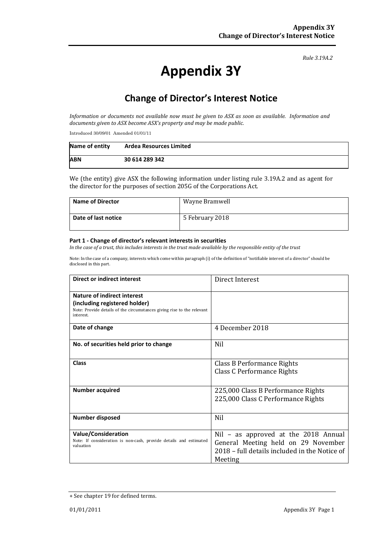#### *Rule 3.19A.2*

# **Appendix 3Y**

# **Change of Director's Interest Notice**

*Information or documents not available now must be given to ASX as soon as available. Information and documents given to ASX become ASX's property and may be made public.*

Introduced 30/09/01 Amended 01/01/11

| Name of entity | <b>Ardea Resources Limited</b> |
|----------------|--------------------------------|
| <b>ABN</b>     | 30 614 289 342                 |

We (the entity) give ASX the following information under listing rule 3.19A.2 and as agent for the director for the purposes of section 205G of the Corporations Act.

| <b>Name of Director</b> | Wayne Bramwell  |
|-------------------------|-----------------|
| Date of last notice     | 5 February 2018 |

#### **Part 1 - Change of director's relevant interests in securities**

*In the case of a trust, this includes interests in the trust made available by the responsible entity of the trust*

Note: In the case of a company, interests which come within paragraph (i) of the definition of "notifiable interest of a director" should be disclosed in this part.

| <b>Direct or indirect interest</b>                                                                                                                  | Direct Interest                                                                                                                         |  |
|-----------------------------------------------------------------------------------------------------------------------------------------------------|-----------------------------------------------------------------------------------------------------------------------------------------|--|
| Nature of indirect interest<br>(including registered holder)<br>Note: Provide details of the circumstances giving rise to the relevant<br>interest. |                                                                                                                                         |  |
| Date of change                                                                                                                                      | 4 December 2018                                                                                                                         |  |
| No. of securities held prior to change                                                                                                              | <b>Nil</b>                                                                                                                              |  |
| Class                                                                                                                                               | <b>Class B Performance Rights</b><br>Class C Performance Rights                                                                         |  |
| <b>Number acquired</b>                                                                                                                              | 225,000 Class B Performance Rights<br>225,000 Class C Performance Rights                                                                |  |
| <b>Number disposed</b>                                                                                                                              | <b>Nil</b>                                                                                                                              |  |
| <b>Value/Consideration</b><br>Note: If consideration is non-cash, provide details and estimated<br>valuation                                        | Nil – as approved at the 2018 Annual<br>General Meeting held on 29 November<br>2018 – full details included in the Notice of<br>Meeting |  |

<sup>+</sup> See chapter 19 for defined terms.